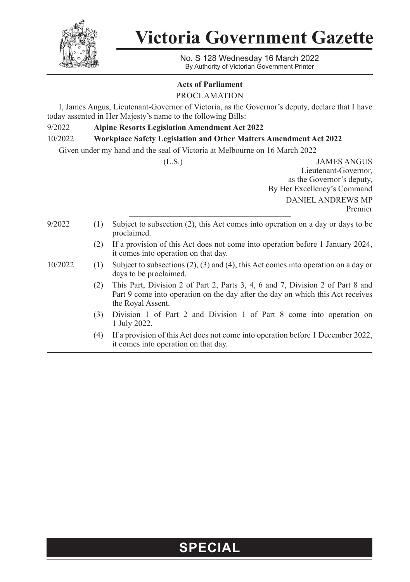

**Victoria Government Gazette**

No. S 128 Wednesday 16 March 2022 By Authority of Victorian Government Printer

## **Acts of Parliament**

PROCLAMATION

I, James Angus, Lieutenant-Governor of Victoria, as the Governor's deputy, declare that I have today assented in Her Majesty's name to the following Bills:

## 9/2022 **Alpine Resorts Legislation Amendment Act 2022**

10/2022 **Workplace Safety Legislation and Other Matters Amendment Act 2022**

Given under my hand and the seal of Victoria at Melbourne on 16 March 2022

(L.S.) JAMES ANGUS Lieutenant-Governor, as the Governor's deputy, By Her Excellency's Command DANIEL ANDREWS MP Premier

- 9/2022 (1) Subject to subsection (2), this Act comes into operation on a day or days to be proclaimed.
	- (2) If a provision of this Act does not come into operation before 1 January 2024, it comes into operation on that day.
- 10/2022 (1) Subject to subsections (2), (3) and (4), this Act comes into operation on a day or days to be proclaimed.
	- (2) This Part, Division 2 of Part 2, Parts 3, 4, 6 and 7, Division 2 of Part 8 and Part 9 come into operation on the day after the day on which this Act receives the Royal Assent.
	- (3) Division 1 of Part 2 and Division 1 of Part 8 come into operation on 1 July 2022.
	- (4) If a provision of this Act does not come into operation before 1 December 2022, it comes into operation on that day.

## **SPECIAL**